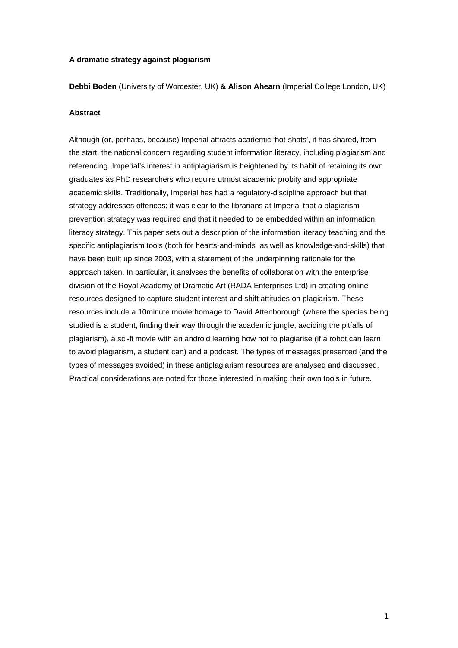### **A dramatic strategy against plagiarism**

**Debbi Boden** (University of Worcester, UK) **& Alison Ahearn** (Imperial College London, UK)

### **Abstract**

Although (or, perhaps, because) Imperial attracts academic 'hot-shots', it has shared, from the start, the national concern regarding student information literacy, including plagiarism and referencing. Imperial's interest in antiplagiarism is heightened by its habit of retaining its own graduates as PhD researchers who require utmost academic probity and appropriate academic skills. Traditionally, Imperial has had a regulatory-discipline approach but that strategy addresses offences: it was clear to the librarians at Imperial that a plagiarismprevention strategy was required and that it needed to be embedded within an information literacy strategy. This paper sets out a description of the information literacy teaching and the specific antiplagiarism tools (both for hearts-and-minds as well as knowledge-and-skills) that have been built up since 2003, with a statement of the underpinning rationale for the approach taken. In particular, it analyses the benefits of collaboration with the enterprise division of the Royal Academy of Dramatic Art (RADA Enterprises Ltd) in creating online resources designed to capture student interest and shift attitudes on plagiarism. These resources include a 10minute movie homage to David Attenborough (where the species being studied is a student, finding their way through the academic jungle, avoiding the pitfalls of plagiarism), a sci-fi movie with an android learning how not to plagiarise (if a robot can learn to avoid plagiarism, a student can) and a podcast. The types of messages presented (and the types of messages avoided) in these antiplagiarism resources are analysed and discussed. Practical considerations are noted for those interested in making their own tools in future.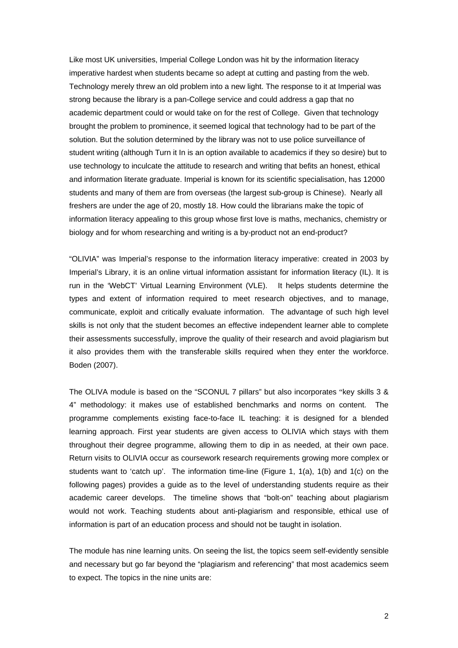Like most UK universities, Imperial College London was hit by the information literacy imperative hardest when students became so adept at cutting and pasting from the web. Technology merely threw an old problem into a new light. The response to it at Imperial was strong because the library is a pan-College service and could address a gap that no academic department could or would take on for the rest of College. Given that technology brought the problem to prominence, it seemed logical that technology had to be part of the solution. But the solution determined by the library was not to use police surveillance of student writing (although Turn it In is an option available to academics if they so desire) but to use technology to inculcate the attitude to research and writing that befits an honest, ethical and information literate graduate. Imperial is known for its scientific specialisation, has 12000 students and many of them are from overseas (the largest sub-group is Chinese). Nearly all freshers are under the age of 20, mostly 18. How could the librarians make the topic of information literacy appealing to this group whose first love is maths, mechanics, chemistry or biology and for whom researching and writing is a by-product not an end-product?

"OLIVIA" was Imperial's response to the information literacy imperative: created in 2003 by Imperial's Library, it is an online virtual information assistant for information literacy (IL). It is run in the 'WebCT' Virtual Learning Environment (VLE). It helps students determine the types and extent of information required to meet research objectives, and to manage, communicate, exploit and critically evaluate information. The advantage of such high level skills is not only that the student becomes an effective independent learner able to complete their assessments successfully, improve the quality of their research and avoid plagiarism but it also provides them with the transferable skills required when they enter the workforce. Boden (2007).

The OLIVA module is based on the "SCONUL 7 pillars" but also incorporates "key skills 3 & 4" methodology: it makes use of established benchmarks and norms on content. The programme complements existing face-to-face IL teaching: it is designed for a blended learning approach. First year students are given access to OLIVIA which stays with them throughout their degree programme, allowing them to dip in as needed, at their own pace. Return visits to OLIVIA occur as coursework research requirements growing more complex or students want to 'catch up'. The information time-line (Figure 1, 1(a), 1(b) and 1(c) on the following pages) provides a guide as to the level of understanding students require as their academic career develops. The timeline shows that "bolt-on" teaching about plagiarism would not work. Teaching students about anti-plagiarism and responsible, ethical use of information is part of an education process and should not be taught in isolation.

The module has nine learning units. On seeing the list, the topics seem self-evidently sensible and necessary but go far beyond the "plagiarism and referencing" that most academics seem to expect. The topics in the nine units are: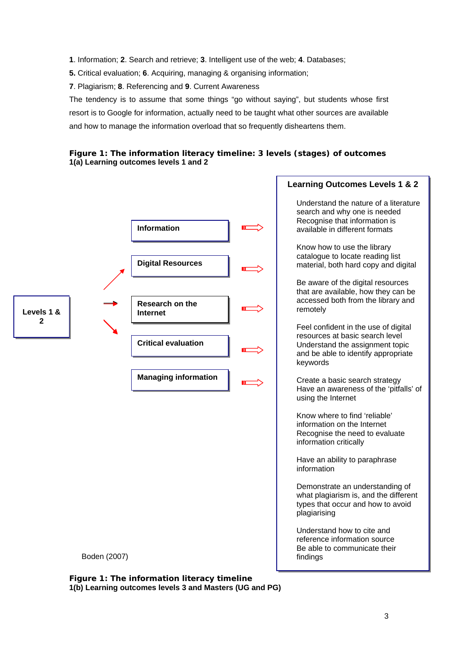- **1**. Information; **2**. Search and retrieve; **3**. Intelligent use of the web; **4**. Databases;
- **5.** Critical evaluation; **6**. Acquiring, managing & organising information;
- **7**. Plagiarism; **8**. Referencing and **9**. Current Awareness

The tendency is to assume that some things "go without saying", but students whose first resort is to Google for information, actually need to be taught what other sources are available and how to manage the information overload that so frequently disheartens them.

## **Figure 1: The information literacy timeline: 3 levels (stages) of outcomes 1(a) Learning outcomes levels 1 and 2**



**Figure 1: The information literacy timeline 1(b) Learning outcomes levels 3 and Masters (UG and PG)**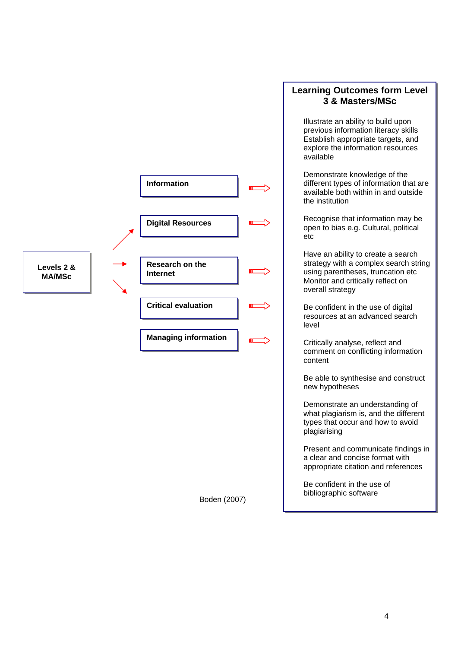

Boden (2007)

# **Learning Outcomes form Level 3 & Masters/MSc**

Illustrate an ability to build upon previous information literacy skills Establish appropriate targets, and explore the information resources available

Demonstrate knowledge of the different types of information that are available both within in and outside the institution

Recognise that information may be open to bias e.g. Cultural, political etc

Have an ability to create a search strategy with a complex search string using parentheses, truncation etc Monitor and critically reflect on overall strategy

Be confident in the use of digital resources at an advanced search level

Critically analyse, reflect and comment on conflicting information content

Be able to synthesise and construct new hypotheses

Demonstrate an understanding of what plagiarism is, and the different types that occur and how to avoid plagiarising

Present and communicate findings in a clear and concise format with appropriate citation and references

Be confident in the use of bibliographic software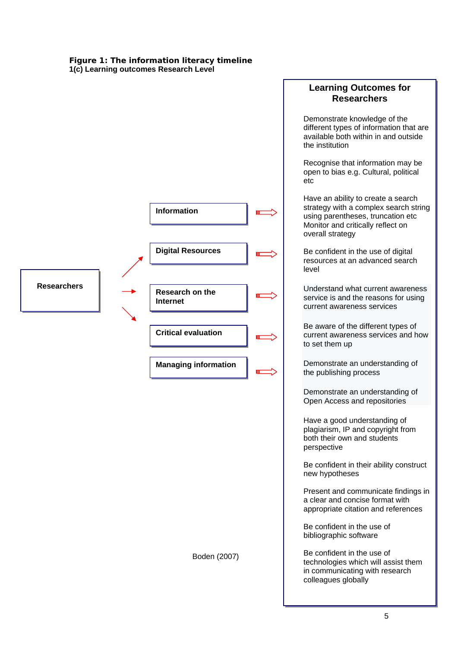## **Figure 1: The information literacy timeline 1(c) Learning outcomes Research Level**

|                    | <b>Information</b><br>10C        |
|--------------------|----------------------------------|
|                    | <b>Digital Resources</b><br>加□   |
| <b>Researchers</b> | Research on the<br>╙<br>Internet |
|                    | <b>Critical evaluation</b><br>╓  |
|                    | <b>Managing information</b>      |
|                    |                                  |
|                    |                                  |
|                    |                                  |
|                    |                                  |
|                    | Boden (2007)                     |

# **Learning Outcomes for Researchers**

Demonstrate knowledge of the different types of information that are available both within in and outside the institution

Recognise that information may be open to bias e.g. Cultural, political etc

Have an ability to create a search strategy with a complex search string using parentheses, truncation etc Monitor and critically reflect on overall strategy

Be confident in the use of digital resources at an advanced search level

Understand what current awareness service is and the reasons for using current awareness services

Be aware of the different types of current awareness services and how to set them up

Demonstrate an understanding of the publishing process

Demonstrate an understanding of Open Access and repositories

Have a good understanding of plagiarism, IP and copyright from both their own and students perspective

Be confident in their ability construct new hypotheses

Present and communicate findings in a clear and concise format with appropriate citation and references

Be confident in the use of bibliographic software

Be confident in the use of technologies which will assist them in communicating with research colleagues globally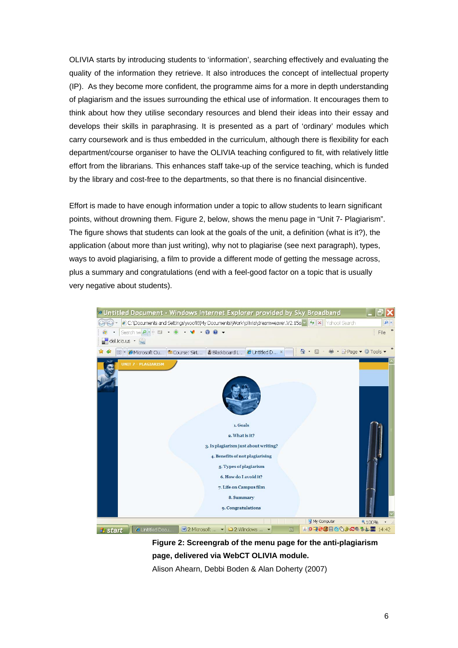OLIVIA starts by introducing students to 'information', searching effectively and evaluating the quality of the information they retrieve. It also introduces the concept of intellectual property (IP). As they become more confident, the programme aims for a more in depth understanding of plagiarism and the issues surrounding the ethical use of information. It encourages them to think about how they utilise secondary resources and blend their ideas into their essay and develops their skills in paraphrasing. It is presented as a part of 'ordinary' modules which carry coursework and is thus embedded in the curriculum, although there is flexibility for each department/course organiser to have the OLIVIA teaching configured to fit, with relatively little effort from the librarians. This enhances staff take-up of the service teaching, which is funded by the library and cost-free to the departments, so that there is no financial disincentive.

Effort is made to have enough information under a topic to allow students to learn significant points, without drowning them. Figure 2, below, shows the menu page in "Unit 7- Plagiarism". The figure shows that students can look at the goals of the unit, a definition (what is it?), the application (about more than just writing), why not to plagiarise (see next paragraph), types, ways to avoid plagiarising, a film to provide a different mode of getting the message across, plus a summary and congratulations (end with a feel-good factor on a topic that is usually very negative about students).



**Figure 2: Screengrab of the menu page for the anti-plagiarism page, delivered via WebCT OLIVIA module.** 

Alison Ahearn, Debbi Boden & Alan Doherty (2007)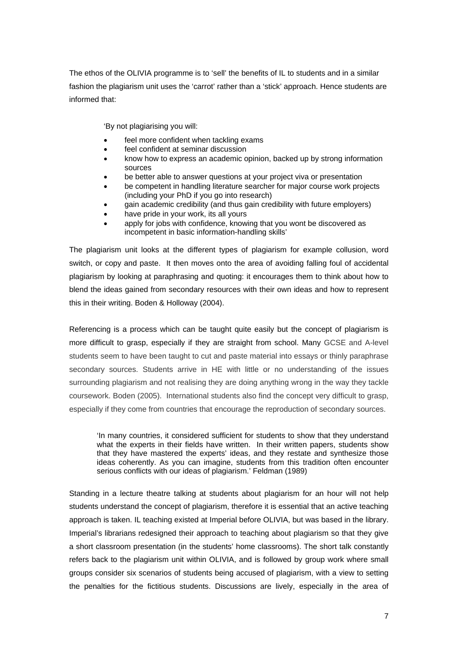The ethos of the OLIVIA programme is to 'sell' the benefits of IL to students and in a similar fashion the plagiarism unit uses the 'carrot' rather than a 'stick' approach. Hence students are informed that:

'By not plagiarising you will:

- feel more confident when tackling exams
- feel confident at seminar discussion
- know how to express an academic opinion, backed up by strong information sources
- be better able to answer questions at your project viva or presentation
- be competent in handling literature searcher for major course work projects (including your PhD if you go into research)
- gain academic credibility (and thus gain credibility with future employers)
- have pride in your work, its all yours
- apply for jobs with confidence, knowing that you wont be discovered as incompetent in basic information-handling skills'

The plagiarism unit looks at the different types of plagiarism for example collusion, word switch, or copy and paste. It then moves onto the area of avoiding falling foul of accidental plagiarism by looking at paraphrasing and quoting: it encourages them to think about how to blend the ideas gained from secondary resources with their own ideas and how to represent this in their writing. Boden & Holloway (2004).

Referencing is a process which can be taught quite easily but the concept of plagiarism is more difficult to grasp, especially if they are straight from school. Many GCSE and A-level students seem to have been taught to cut and paste material into essays or thinly paraphrase secondary sources. Students arrive in HE with little or no understanding of the issues surrounding plagiarism and not realising they are doing anything wrong in the way they tackle coursework. Boden (2005). International students also find the concept very difficult to grasp, especially if they come from countries that encourage the reproduction of secondary sources.

'In many countries, it considered sufficient for students to show that they understand what the experts in their fields have written. In their written papers, students show that they have mastered the experts' ideas, and they restate and synthesize those ideas coherently. As you can imagine, students from this tradition often encounter serious conflicts with our ideas of plagiarism.' Feldman (1989)

Standing in a lecture theatre talking at students about plagiarism for an hour will not help students understand the concept of plagiarism, therefore it is essential that an active teaching approach is taken. IL teaching existed at Imperial before OLIVIA, but was based in the library. Imperial's librarians redesigned their approach to teaching about plagiarism so that they give a short classroom presentation (in the students' home classrooms). The short talk constantly refers back to the plagiarism unit within OLIVIA, and is followed by group work where small groups consider six scenarios of students being accused of plagiarism, with a view to setting the penalties for the fictitious students. Discussions are lively, especially in the area of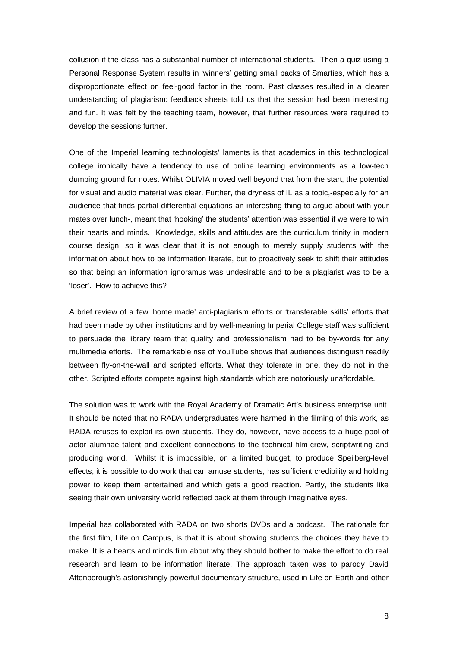collusion if the class has a substantial number of international students. Then a quiz using a Personal Response System results in 'winners' getting small packs of Smarties, which has a disproportionate effect on feel-good factor in the room. Past classes resulted in a clearer understanding of plagiarism: feedback sheets told us that the session had been interesting and fun. It was felt by the teaching team, however, that further resources were required to develop the sessions further.

One of the Imperial learning technologists' laments is that academics in this technological college ironically have a tendency to use of online learning environments as a low-tech dumping ground for notes. Whilst OLIVIA moved well beyond that from the start, the potential for visual and audio material was clear. Further, the dryness of IL as a topic,-especially for an audience that finds partial differential equations an interesting thing to argue about with your mates over lunch-, meant that 'hooking' the students' attention was essential if we were to win their hearts and minds. Knowledge, skills and attitudes are the curriculum trinity in modern course design, so it was clear that it is not enough to merely supply students with the information about how to be information literate, but to proactively seek to shift their attitudes so that being an information ignoramus was undesirable and to be a plagiarist was to be a 'loser'. How to achieve this?

A brief review of a few 'home made' anti-plagiarism efforts or 'transferable skills' efforts that had been made by other institutions and by well-meaning Imperial College staff was sufficient to persuade the library team that quality and professionalism had to be by-words for any multimedia efforts. The remarkable rise of YouTube shows that audiences distinguish readily between fly-on-the-wall and scripted efforts. What they tolerate in one, they do not in the other. Scripted efforts compete against high standards which are notoriously unaffordable.

The solution was to work with the Royal Academy of Dramatic Art's business enterprise unit. It should be noted that no RADA undergraduates were harmed in the filming of this work, as RADA refuses to exploit its own students. They do, however, have access to a huge pool of actor alumnae talent and excellent connections to the technical film-crew, scriptwriting and producing world. Whilst it is impossible, on a limited budget, to produce Speilberg-level effects, it is possible to do work that can amuse students, has sufficient credibility and holding power to keep them entertained and which gets a good reaction. Partly, the students like seeing their own university world reflected back at them through imaginative eyes.

Imperial has collaborated with RADA on two shorts DVDs and a podcast. The rationale for the first film, Life on Campus, is that it is about showing students the choices they have to make. It is a hearts and minds film about why they should bother to make the effort to do real research and learn to be information literate. The approach taken was to parody David Attenborough's astonishingly powerful documentary structure, used in Life on Earth and other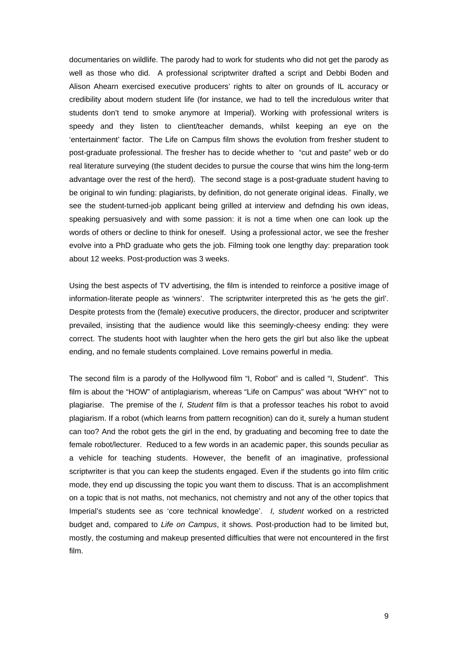documentaries on wildlife. The parody had to work for students who did not get the parody as well as those who did. A professional scriptwriter drafted a script and Debbi Boden and Alison Ahearn exercised executive producers' rights to alter on grounds of IL accuracy or credibility about modern student life (for instance, we had to tell the incredulous writer that students don't tend to smoke anymore at Imperial). Working with professional writers is speedy and they listen to client/teacher demands, whilst keeping an eye on the 'entertainment' factor. The Life on Campus film shows the evolution from fresher student to post-graduate professional. The fresher has to decide whether to "cut and paste" web or do real literature surveying (the student decides to pursue the course that wins him the long-term advantage over the rest of the herd). The second stage is a post-graduate student having to be original to win funding: plagiarists, by definition, do not generate original ideas. Finally, we see the student-turned-job applicant being grilled at interview and defnding his own ideas, speaking persuasively and with some passion: it is not a time when one can look up the words of others or decline to think for oneself. Using a professional actor, we see the fresher evolve into a PhD graduate who gets the job. Filming took one lengthy day: preparation took about 12 weeks. Post-production was 3 weeks.

Using the best aspects of TV advertising, the film is intended to reinforce a positive image of information-literate people as 'winners'. The scriptwriter interpreted this as 'he gets the girl'. Despite protests from the (female) executive producers, the director, producer and scriptwriter prevailed, insisting that the audience would like this seemingly-cheesy ending: they were correct. The students hoot with laughter when the hero gets the girl but also like the upbeat ending, and no female students complained. Love remains powerful in media.

The second film is a parody of the Hollywood film "I, Robot" and is called "I, Student". This film is about the "HOW" of antiplagiarism, whereas "Life on Campus" was about "WHY" not to plagiarise. The premise of the *I, Student* film is that a professor teaches his robot to avoid plagiarism. If a robot (which learns from pattern recognition) can do it, surely a human student can too? And the robot gets the girl in the end, by graduating and becoming free to date the female robot/lecturer. Reduced to a few words in an academic paper, this sounds peculiar as a vehicle for teaching students. However, the benefit of an imaginative, professional scriptwriter is that you can keep the students engaged. Even if the students go into film critic mode, they end up discussing the topic you want them to discuss. That is an accomplishment on a topic that is not maths, not mechanics, not chemistry and not any of the other topics that Imperial's students see as 'core technical knowledge'. *I, student* worked on a restricted budget and, compared to *Life on Campus*, it shows. Post-production had to be limited but, mostly, the costuming and makeup presented difficulties that were not encountered in the first film.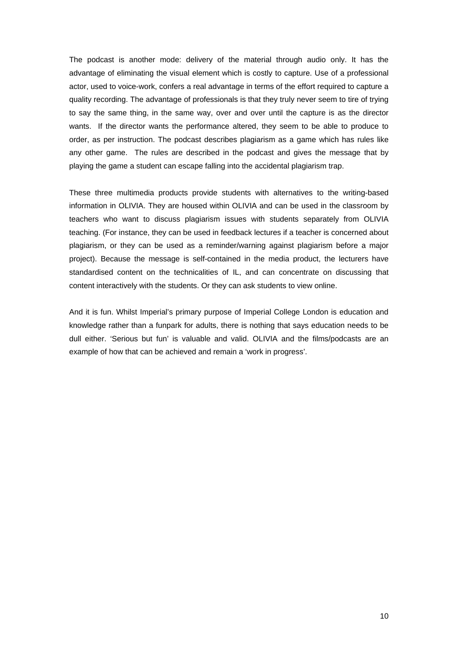The podcast is another mode: delivery of the material through audio only. It has the advantage of eliminating the visual element which is costly to capture. Use of a professional actor, used to voice-work, confers a real advantage in terms of the effort required to capture a quality recording. The advantage of professionals is that they truly never seem to tire of trying to say the same thing, in the same way, over and over until the capture is as the director wants. If the director wants the performance altered, they seem to be able to produce to order, as per instruction. The podcast describes plagiarism as a game which has rules like any other game. The rules are described in the podcast and gives the message that by playing the game a student can escape falling into the accidental plagiarism trap.

These three multimedia products provide students with alternatives to the writing-based information in OLIVIA. They are housed within OLIVIA and can be used in the classroom by teachers who want to discuss plagiarism issues with students separately from OLIVIA teaching. (For instance, they can be used in feedback lectures if a teacher is concerned about plagiarism, or they can be used as a reminder/warning against plagiarism before a major project). Because the message is self-contained in the media product, the lecturers have standardised content on the technicalities of IL, and can concentrate on discussing that content interactively with the students. Or they can ask students to view online.

And it is fun. Whilst Imperial's primary purpose of Imperial College London is education and knowledge rather than a funpark for adults, there is nothing that says education needs to be dull either. 'Serious but fun' is valuable and valid. OLIVIA and the films/podcasts are an example of how that can be achieved and remain a 'work in progress'.